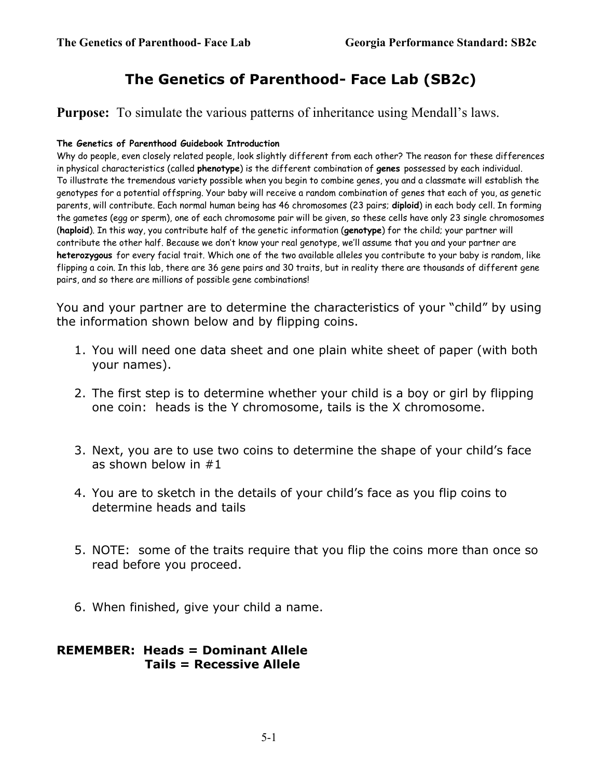# **The Genetics of Parenthood- Face Lab (SB2c)**

## **Purpose:** To simulate the various patterns of inheritance using Mendall's laws.

#### **The Genetics of Parenthood Guidebook Introduction**

Why do people, even closely related people, look slightly different from each other? The reason for these differences in physical characteristics (called **phenotype**) is the different combination of **genes** possessed by each individual. To illustrate the tremendous variety possible when you begin to combine genes, you and a classmate will establish the genotypes for a potential offspring. Your baby will receive a random combination of genes that each of you, as genetic parents, will contribute. Each normal human being has 46 chromosomes (23 pairs; **diploid**) in each body cell. In forming the gametes (egg or sperm), one of each chromosome pair will be given, so these cells have only 23 single chromosomes (**haploid**). In this way, you contribute half of the genetic information (**genotype**) for the child; your partner will contribute the other half. Because we don't know your real genotype, we'll assume that you and your partner are **heterozygous** for every facial trait. Which one of the two available alleles you contribute to your baby is random, like flipping a coin. In this lab, there are 36 gene pairs and 30 traits, but in reality there are thousands of different gene pairs, and so there are millions of possible gene combinations!

You and your partner are to determine the characteristics of your "child" by using the information shown below and by flipping coins.

- 1. You will need one data sheet and one plain white sheet of paper (with both your names).
- 2. The first step is to determine whether your child is a boy or girl by flipping one coin: heads is the Y chromosome, tails is the X chromosome.
- 3. Next, you are to use two coins to determine the shape of your child's face as shown below in #1
- 4. You are to sketch in the details of your child's face as you flip coins to determine heads and tails
- 5. NOTE: some of the traits require that you flip the coins more than once so read before you proceed.
- 6. When finished, give your child a name.

### **REMEMBER: Heads = Dominant Allele Tails = Recessive Allele**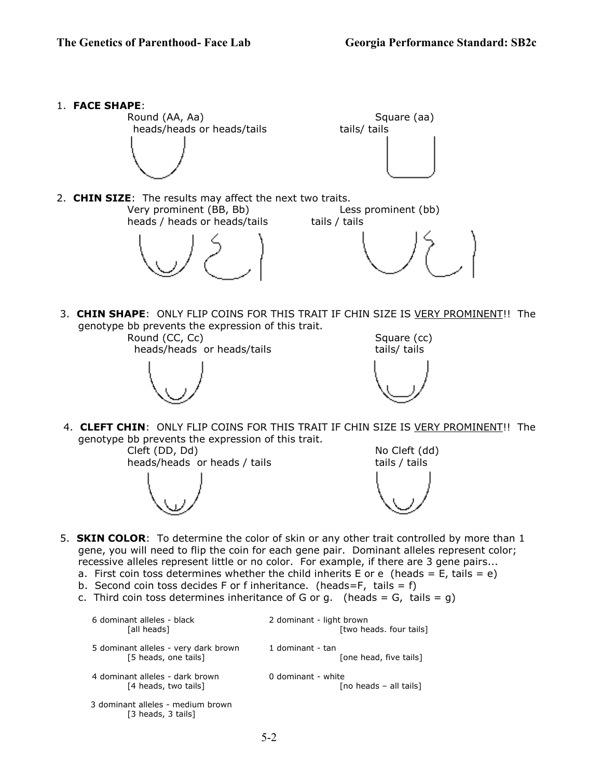

 4. **CLEFT CHIN**: ONLY FLIP COINS FOR THIS TRAIT IF CHIN SIZE IS VERY PROMINENT!! The genotype bb prevents the expression of this trait.



- 5. **SKIN COLOR**: To determine the color of skin or any other trait controlled by more than 1 gene, you will need to flip the coin for each gene pair. Dominant alleles represent color; recessive alleles represent little or no color. For example, if there are 3 gene pairs...
	- a. First coin toss determines whether the child inherits E or e (heads = E, tails = e)
	- b. Second coin toss decides F or f inheritance. (heads=F, tails = f)
	- c. Third coin toss determines inheritance of G or g. (heads  $= G$ , tails  $= g$ )

| 6 dominant alleles - black                              | 2 dominant - light brown |
|---------------------------------------------------------|--------------------------|
| [all heads]                                             | [two heads. four tails]  |
| 5 dominant alleles - very dark brown                    | 1 dominant - tan         |
| [5 heads, one tails]                                    | [one head, five tails]   |
| 4 dominant alleles - dark brown                         | 0 dominant - white       |
| [4 heads, two tails]                                    | [no heads - all tails]   |
| 3 dominant alleles - medium brown<br>[3 heads, 3 tails] |                          |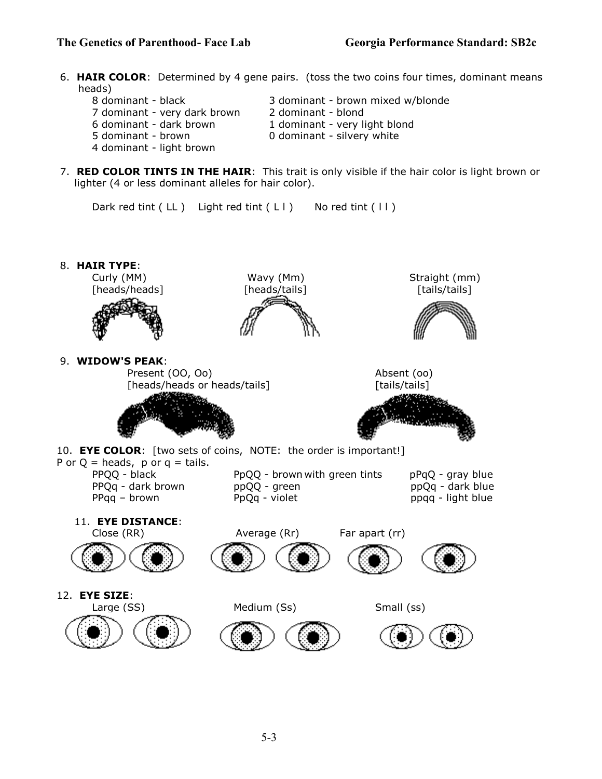6. **HAIR COLOR**: Determined by 4 gene pairs. (toss the two coins four times, dominant means heads)

| 8 dominant - black           | 3 dominant - brown mixed w/blonde |
|------------------------------|-----------------------------------|
| 7 dominant - very dark brown | 2 dominant - blond                |
| 6 dominant - dark brown      | 1 dominant - very light blond     |
| 5 dominant - brown           | 0 dominant - silvery white        |
| 4 dominant - light brown     |                                   |

7. **RED COLOR TINTS IN THE HAIR**: This trait is only visible if the hair color is light brown or lighter (4 or less dominant alleles for hair color).

Dark red tint  $(LL)$  Light red tint  $(L1)$  No red tint  $(11)$ 

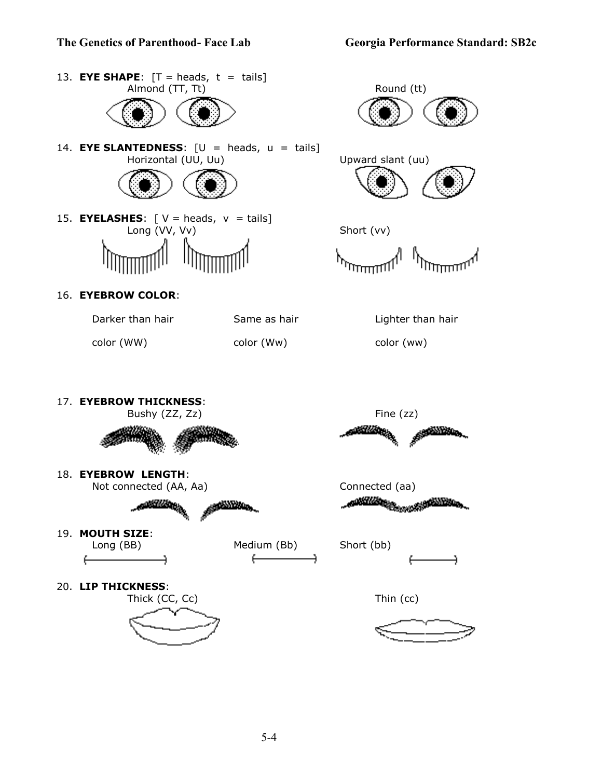### **The Genetics of Parenthood- Face Lab Georgia Performance Standard: SB2c**





14. **EYE SLANTEDNESS**:  $[U = \text{heads}, u = \text{tails}]$ Horizontal (UU, Uu) Upward slant (uu)



- 15. **EYELASHES**:  $[V = heads, v = tails]$ Long (VV, Vv) Short (vv)
- 16. **EYEBROW COLOR**:

| Darker than hai |  |  |
|-----------------|--|--|
|-----------------|--|--|

color (WW) color (Ww) color (ww)





<sub>ע</sub>עיענען<sub>ן</sub> لللللللل

r Same as hair **Same as hair** Lighter than hair

17. **EYEBROW THICKNESS**:





18. **EYEBROW LENGTH**: Not connected (AA, Aa) Connected (aa)



19. **MOUTH SIZE**: Long (BB) Medium (Bb) Short (bb)

Ē

Ê



20. **LIP THICKNESS**:



╕



**egőkölök** 



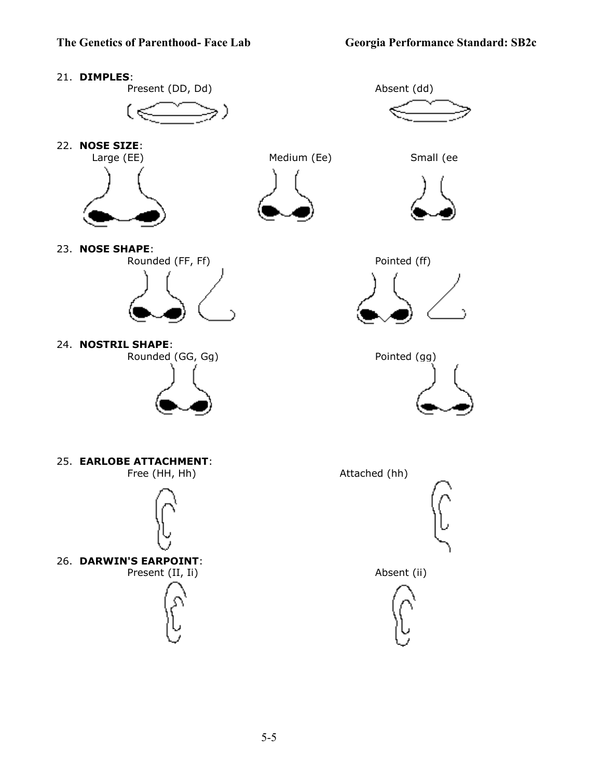

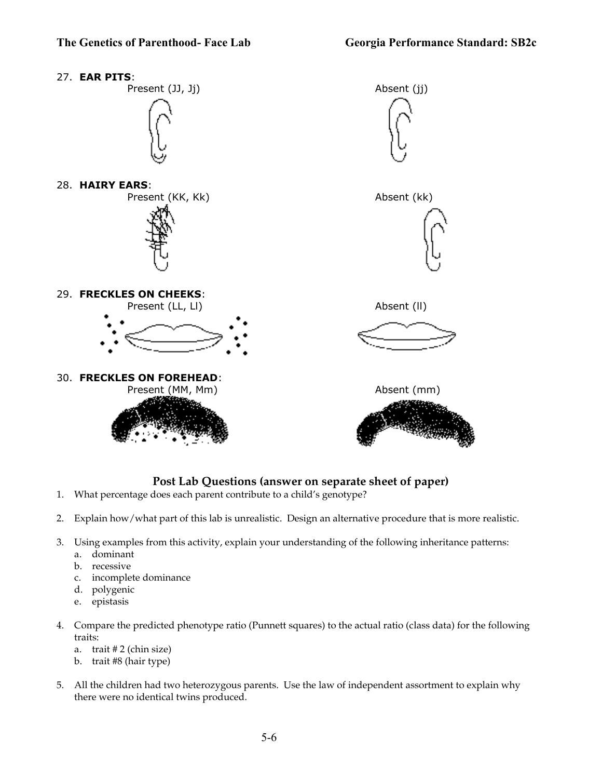

#### **Post Lab Questions (answer on separate sheet of paper)**

- 1. What percentage does each parent contribute to a child's genotype?
- 2. Explain how/what part of this lab is unrealistic. Design an alternative procedure that is more realistic.
- 3. Using examples from this activity, explain your understanding of the following inheritance patterns:
	- a. dominant
	- b. recessive
	- c. incomplete dominance
	- d. polygenic
	- e. epistasis
- 4. Compare the predicted phenotype ratio (Punnett squares) to the actual ratio (class data) for the following traits:
	- a. trait # 2 (chin size)
	- b. trait #8 (hair type)
- 5. All the children had two heterozygous parents. Use the law of independent assortment to explain why there were no identical twins produced.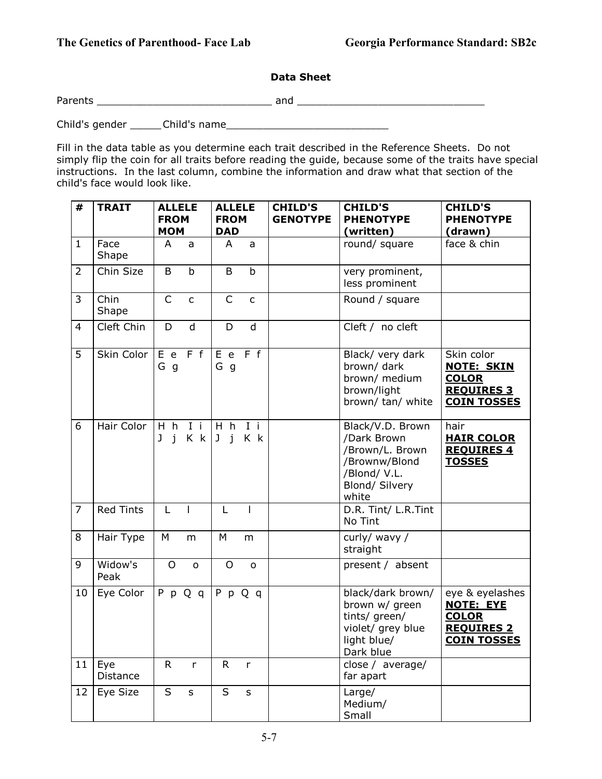**Data Sheet**

Parents \_\_\_\_\_\_\_\_\_\_\_\_\_\_\_\_\_\_\_\_\_\_\_\_\_\_\_\_ and \_\_\_\_\_\_\_\_\_\_\_\_\_\_\_\_\_\_\_\_\_\_\_\_\_\_\_\_\_\_

Child's gender \_\_\_\_\_\_Child's name

Fill in the data table as you determine each trait described in the Reference Sheets. Do not simply flip the coin for all traits before reading the guide, because some of the traits have special instructions. In the last column, combine the information and draw what that section of the child's face would look like.

| #              | <b>TRAIT</b>     | <b>ALLELE</b><br><b>FROM</b><br><b>MOM</b> | <b>ALLELE</b><br><b>FROM</b><br><b>DAD</b> |              | <b>CHILD'S</b><br><b>GENOTYPE</b> | <b>CHILD'S</b><br><b>PHENOTYPE</b><br>(written)                                                                | <b>CHILD'S</b><br><b>PHENOTYPE</b><br>(drawn)                                              |
|----------------|------------------|--------------------------------------------|--------------------------------------------|--------------|-----------------------------------|----------------------------------------------------------------------------------------------------------------|--------------------------------------------------------------------------------------------|
| $\mathbf{1}$   | Face<br>Shape    | A<br>a                                     | A                                          | a            |                                   | round/ square                                                                                                  | face & chin                                                                                |
| $\overline{2}$ | Chin Size        | $\mathsf b$<br>B                           | B                                          | $\mathsf b$  |                                   | very prominent,<br>less prominent                                                                              |                                                                                            |
| 3              | Chin<br>Shape    | $\mathsf{C}$<br>$\mathsf C$                | $\mathsf C$                                | $\mathsf{C}$ |                                   | Round / square                                                                                                 |                                                                                            |
| 4              | Cleft Chin       | d<br>D                                     | D                                          | d            |                                   | Cleft / no cleft                                                                                               |                                                                                            |
| 5              | Skin Color       | F f<br>E e<br>Gg                           | E e<br>G g                                 | F f          |                                   | Black/ very dark<br>brown/ dark<br>brown/ medium<br>brown/light<br>brown/ tan/ white                           | Skin color<br><u>NOTE: SKIN</u><br><b>COLOR</b><br><b>REQUIRES 3</b><br><b>COIN TOSSES</b> |
| 6              | Hair Color       | $I$ i<br>H h<br>K k<br>$\mathbf{i}$<br>J.  | H h<br>J<br>$\mathbf{i}$                   | $I$ i<br>K k |                                   | Black/V.D. Brown<br>/Dark Brown<br>/Brown/L. Brown<br>/Brownw/Blond<br>/Blond/ V.L.<br>Blond/ Silvery<br>white | hair<br><b>HAIR COLOR</b><br><b>REQUIRES 4</b><br><b>TOSSES</b>                            |
| $\overline{7}$ | <b>Red Tints</b> | L<br>$\mathbf{I}$                          | L                                          | $\mathbf{I}$ |                                   | D.R. Tint/ L.R.Tint<br>No Tint                                                                                 |                                                                                            |
| 8              | Hair Type        | M<br>m                                     | M                                          | m            |                                   | curly/ wavy /<br>straight                                                                                      |                                                                                            |
| 9              | Widow's<br>Peak  | $\circ$<br>$\mathsf{o}$                    | $\mathsf O$                                | $\mathsf{o}$ |                                   | present / absent                                                                                               |                                                                                            |
| 10             | Eye Color        | PpQq                                       |                                            | PpQq         |                                   | black/dark brown/<br>brown w/ green<br>tints/ green/<br>violet/ grey blue<br>light blue/<br>Dark blue          | eye & eyelashes<br>NOTE: EYE<br><b>COLOR</b><br><b>REQUIRES 2</b><br><b>COIN TOSSES</b>    |
| 11             | Eye<br>Distance  | $\mathsf{R}$<br>r                          | $\mathsf{R}$                               | $\mathsf{r}$ |                                   | close / average/<br>far apart                                                                                  |                                                                                            |
| 12             | Eye Size         | $\sf S$<br>s                               | S                                          | s            |                                   | Large/<br>Medium/<br>Small                                                                                     |                                                                                            |